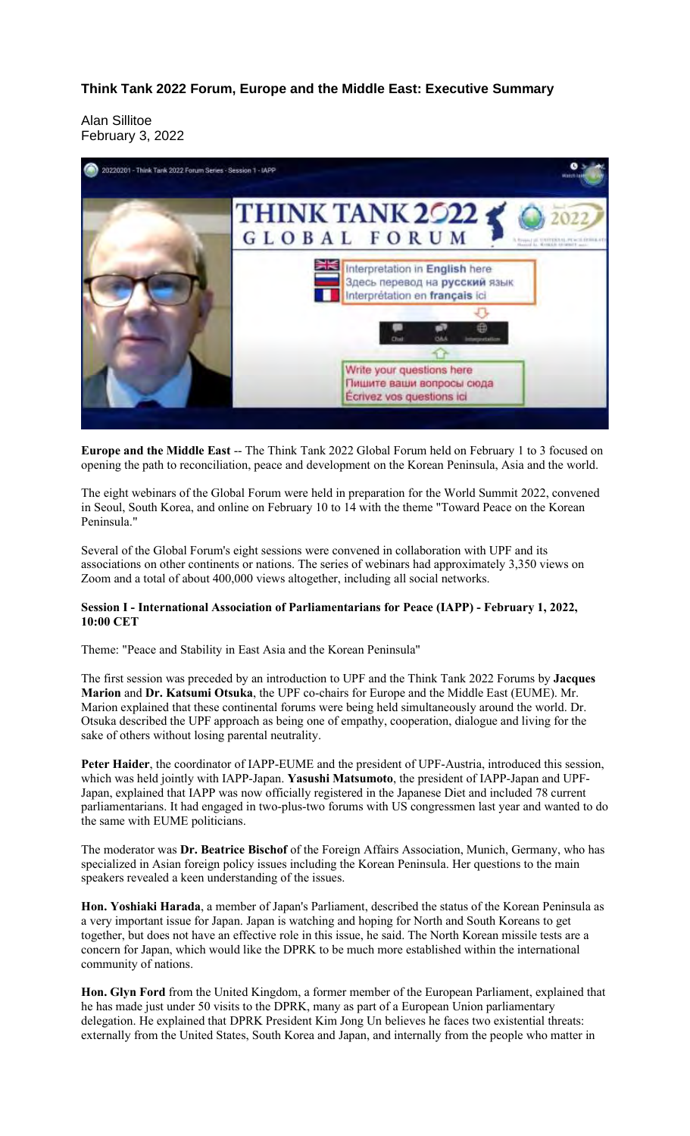**Think Tank 2022 Forum, Europe and the Middle East: Executive Summary**

Alan Sillitoe February 3, 2022



**Europe and the Middle East** -- The Think Tank 2022 Global Forum held on February 1 to 3 focused on opening the path to reconciliation, peace and development on the Korean Peninsula, Asia and the world.

The eight webinars of the Global Forum were held in preparation for the World Summit 2022, convened in Seoul, South Korea, and online on February 10 to 14 with the theme "Toward Peace on the Korean Peninsula."

Several of the Global Forum's eight sessions were convened in collaboration with UPF and its associations on other continents or nations. The series of webinars had approximately 3,350 views on Zoom and a total of about 400,000 views altogether, including all social networks.

# **Session I - International Association of Parliamentarians for Peace (IAPP) - February 1, 2022, 10:00 CET**

Theme: "Peace and Stability in East Asia and the Korean Peninsula"

The first session was preceded by an introduction to UPF and the Think Tank 2022 Forums by **Jacques Marion** and **Dr. Katsumi Otsuka**, the UPF co-chairs for Europe and the Middle East (EUME). Mr. Marion explained that these continental forums were being held simultaneously around the world. Dr. Otsuka described the UPF approach as being one of empathy, cooperation, dialogue and living for the sake of others without losing parental neutrality.

**Peter Haider**, the coordinator of IAPP-EUME and the president of UPF-Austria, introduced this session, which was held jointly with IAPP-Japan. **Yasushi Matsumoto**, the president of IAPP-Japan and UPF-Japan, explained that IAPP was now officially registered in the Japanese Diet and included 78 current parliamentarians. It had engaged in two-plus-two forums with US congressmen last year and wanted to do the same with EUME politicians.

The moderator was **Dr. Beatrice Bischof** of the Foreign Affairs Association, Munich, Germany, who has specialized in Asian foreign policy issues including the Korean Peninsula. Her questions to the main speakers revealed a keen understanding of the issues.

**Hon. Yoshiaki Harada**, a member of Japan's Parliament, described the status of the Korean Peninsula as a very important issue for Japan. Japan is watching and hoping for North and South Koreans to get together, but does not have an effective role in this issue, he said. The North Korean missile tests are a concern for Japan, which would like the DPRK to be much more established within the international community of nations.

**Hon. Glyn Ford** from the United Kingdom, a former member of the European Parliament, explained that he has made just under 50 visits to the DPRK, many as part of a European Union parliamentary delegation. He explained that DPRK President Kim Jong Un believes he faces two existential threats: externally from the United States, South Korea and Japan, and internally from the people who matter in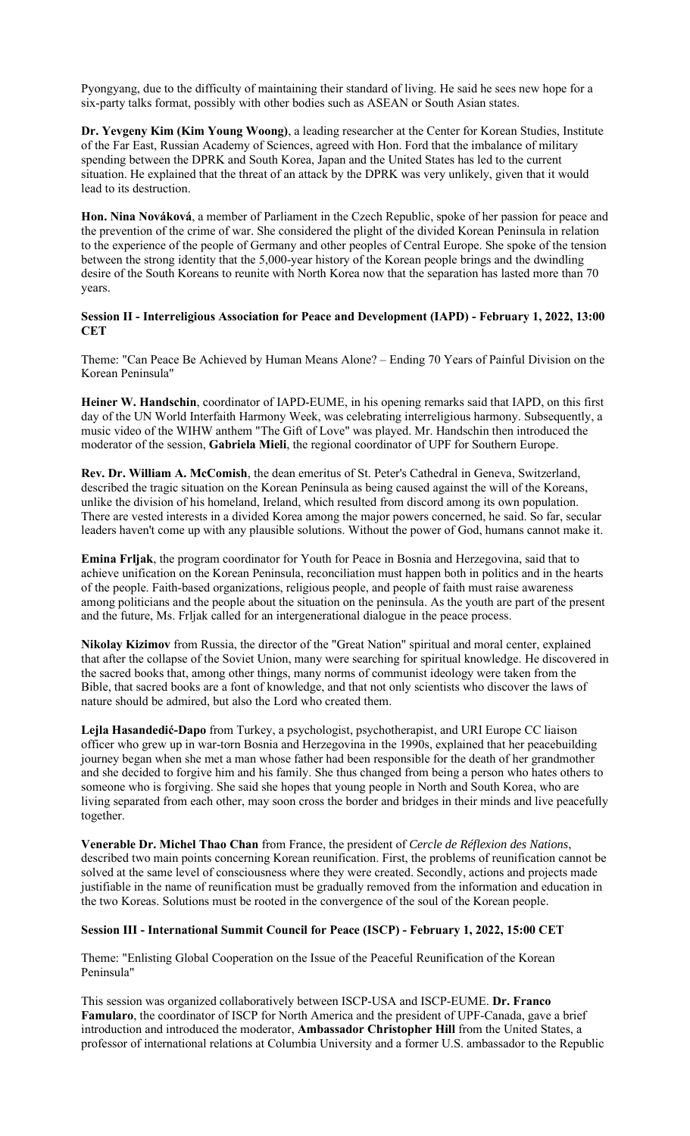Pyongyang, due to the difficulty of maintaining their standard of living. He said he sees new hope for a six-party talks format, possibly with other bodies such as ASEAN or South Asian states.

**Dr. Yevgeny Kim (Kim Young Woong)**, a leading researcher at the Center for Korean Studies, Institute of the Far East, Russian Academy of Sciences, agreed with Hon. Ford that the imbalance of military spending between the DPRK and South Korea, Japan and the United States has led to the current situation. He explained that the threat of an attack by the DPRK was very unlikely, given that it would lead to its destruction.

**Hon. Nina Nováková**, a member of Parliament in the Czech Republic, spoke of her passion for peace and the prevention of the crime of war. She considered the plight of the divided Korean Peninsula in relation to the experience of the people of Germany and other peoples of Central Europe. She spoke of the tension between the strong identity that the 5,000-year history of the Korean people brings and the dwindling desire of the South Koreans to reunite with North Korea now that the separation has lasted more than 70 years.

#### **Session II - Interreligious Association for Peace and Development (IAPD) - February 1, 2022, 13:00 CET**

Theme: "Can Peace Be Achieved by Human Means Alone? – Ending 70 Years of Painful Division on the Korean Peninsula"

**Heiner W. Handschin**, coordinator of IAPD-EUME, in his opening remarks said that IAPD, on this first day of the UN World Interfaith Harmony Week, was celebrating interreligious harmony. Subsequently, a music video of the WIHW anthem "The Gift of Love" was played. Mr. Handschin then introduced the moderator of the session, **Gabriela Mieli**, the regional coordinator of UPF for Southern Europe.

**Rev. Dr. William A. McComish**, the dean emeritus of St. Peter's Cathedral in Geneva, Switzerland, described the tragic situation on the Korean Peninsula as being caused against the will of the Koreans, unlike the division of his homeland, Ireland, which resulted from discord among its own population. There are vested interests in a divided Korea among the major powers concerned, he said. So far, secular leaders haven't come up with any plausible solutions. Without the power of God, humans cannot make it.

**Emina Frljak**, the program coordinator for Youth for Peace in Bosnia and Herzegovina, said that to achieve unification on the Korean Peninsula, reconciliation must happen both in politics and in the hearts of the people. Faith-based organizations, religious people, and people of faith must raise awareness among politicians and the people about the situation on the peninsula. As the youth are part of the present and the future, Ms. Frljak called for an intergenerational dialogue in the peace process.

**Nikolay Kizimov** from Russia, the director of the "Great Nation" spiritual and moral center, explained that after the collapse of the Soviet Union, many were searching for spiritual knowledge. He discovered in the sacred books that, among other things, many norms of communist ideology were taken from the Bible, that sacred books are a font of knowledge, and that not only scientists who discover the laws of nature should be admired, but also the Lord who created them.

**Lejla Hasandedić-Dapo** from Turkey, a psychologist, psychotherapist, and URI Europe CC liaison officer who grew up in war-torn Bosnia and Herzegovina in the 1990s, explained that her peacebuilding journey began when she met a man whose father had been responsible for the death of her grandmother and she decided to forgive him and his family. She thus changed from being a person who hates others to someone who is forgiving. She said she hopes that young people in North and South Korea, who are living separated from each other, may soon cross the border and bridges in their minds and live peacefully together.

**Venerable Dr. Michel Thao Chan** from France, the president of *Cercle de Réflexion des Nations*, described two main points concerning Korean reunification. First, the problems of reunification cannot be solved at the same level of consciousness where they were created. Secondly, actions and projects made justifiable in the name of reunification must be gradually removed from the information and education in the two Koreas. Solutions must be rooted in the convergence of the soul of the Korean people.

# **Session III - International Summit Council for Peace (ISCP) - February 1, 2022, 15:00 CET**

Theme: "Enlisting Global Cooperation on the Issue of the Peaceful Reunification of the Korean Peninsula"

This session was organized collaboratively between ISCP-USA and ISCP-EUME. **Dr. Franco Famularo**, the coordinator of ISCP for North America and the president of UPF-Canada, gave a brief introduction and introduced the moderator, **Ambassador Christopher Hill** from the United States, a professor of international relations at Columbia University and a former U.S. ambassador to the Republic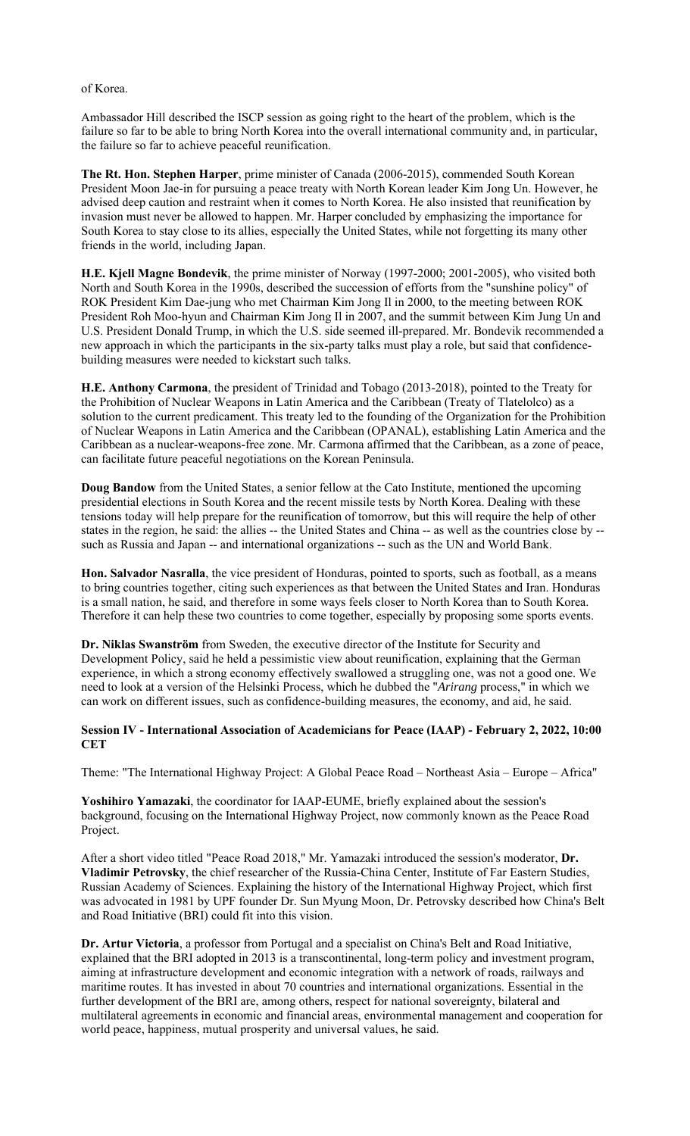#### of Korea.

Ambassador Hill described the ISCP session as going right to the heart of the problem, which is the failure so far to be able to bring North Korea into the overall international community and, in particular, the failure so far to achieve peaceful reunification.

**The Rt. Hon. Stephen Harper**, prime minister of Canada (2006-2015), commended South Korean President Moon Jae-in for pursuing a peace treaty with North Korean leader Kim Jong Un. However, he advised deep caution and restraint when it comes to North Korea. He also insisted that reunification by invasion must never be allowed to happen. Mr. Harper concluded by emphasizing the importance for South Korea to stay close to its allies, especially the United States, while not forgetting its many other friends in the world, including Japan.

**H.E. Kjell Magne Bondevik**, the prime minister of Norway (1997-2000; 2001-2005), who visited both North and South Korea in the 1990s, described the succession of efforts from the "sunshine policy" of ROK President Kim Dae-jung who met Chairman Kim Jong Il in 2000, to the meeting between ROK President Roh Moo-hyun and Chairman Kim Jong Il in 2007, and the summit between Kim Jung Un and U.S. President Donald Trump, in which the U.S. side seemed ill-prepared. Mr. Bondevik recommended a new approach in which the participants in the six-party talks must play a role, but said that confidencebuilding measures were needed to kickstart such talks.

**H.E. Anthony Carmona**, the president of Trinidad and Tobago (2013-2018), pointed to the Treaty for the Prohibition of Nuclear Weapons in Latin America and the Caribbean (Treaty of Tlatelolco) as a solution to the current predicament. This treaty led to the founding of the Organization for the Prohibition of Nuclear Weapons in Latin America and the Caribbean (OPANAL), establishing Latin America and the Caribbean as a nuclear-weapons-free zone. Mr. Carmona affirmed that the Caribbean, as a zone of peace, can facilitate future peaceful negotiations on the Korean Peninsula.

**Doug Bandow** from the United States, a senior fellow at the Cato Institute, mentioned the upcoming presidential elections in South Korea and the recent missile tests by North Korea. Dealing with these tensions today will help prepare for the reunification of tomorrow, but this will require the help of other states in the region, he said: the allies -- the United States and China -- as well as the countries close by - such as Russia and Japan -- and international organizations -- such as the UN and World Bank.

**Hon. Salvador Nasralla**, the vice president of Honduras, pointed to sports, such as football, as a means to bring countries together, citing such experiences as that between the United States and Iran. Honduras is a small nation, he said, and therefore in some ways feels closer to North Korea than to South Korea. Therefore it can help these two countries to come together, especially by proposing some sports events.

**Dr. Niklas Swanström** from Sweden, the executive director of the Institute for Security and Development Policy, said he held a pessimistic view about reunification, explaining that the German experience, in which a strong economy effectively swallowed a struggling one, was not a good one. We need to look at a version of the Helsinki Process, which he dubbed the "*Arirang* process," in which we can work on different issues, such as confidence-building measures, the economy, and aid, he said.

**Session IV - International Association of Academicians for Peace (IAAP) - February 2, 2022, 10:00 CET**

Theme: "The International Highway Project: A Global Peace Road – Northeast Asia – Europe – Africa"

**Yoshihiro Yamazaki**, the coordinator for IAAP-EUME, briefly explained about the session's background, focusing on the International Highway Project, now commonly known as the Peace Road Project.

After a short video titled "Peace Road 2018," Mr. Yamazaki introduced the session's moderator, **Dr. Vladimir Petrovsky**, the chief researcher of the Russia-China Center, Institute of Far Eastern Studies, Russian Academy of Sciences. Explaining the history of the International Highway Project, which first was advocated in 1981 by UPF founder Dr. Sun Myung Moon, Dr. Petrovsky described how China's Belt and Road Initiative (BRI) could fit into this vision.

**Dr. Artur Victoria**, a professor from Portugal and a specialist on China's Belt and Road Initiative, explained that the BRI adopted in 2013 is a transcontinental, long-term policy and investment program, aiming at infrastructure development and economic integration with a network of roads, railways and maritime routes. It has invested in about 70 countries and international organizations. Essential in the further development of the BRI are, among others, respect for national sovereignty, bilateral and multilateral agreements in economic and financial areas, environmental management and cooperation for world peace, happiness, mutual prosperity and universal values, he said.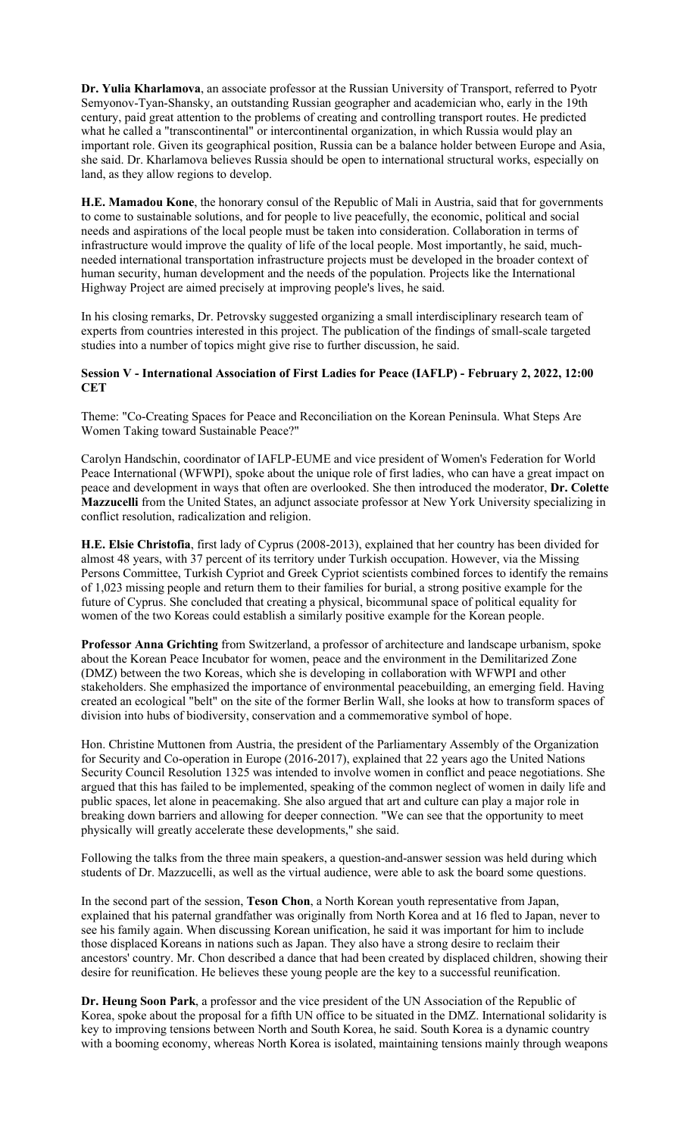**Dr. Yulia Kharlamova**, an associate professor at the Russian University of Transport, referred to Pyotr Semyonov-Tyan-Shansky, an outstanding Russian geographer and academician who, early in the 19th century, paid great attention to the problems of creating and controlling transport routes. He predicted what he called a "transcontinental" or intercontinental organization, in which Russia would play an important role. Given its geographical position, Russia can be a balance holder between Europe and Asia, she said. Dr. Kharlamova believes Russia should be open to international structural works, especially on land, as they allow regions to develop.

**H.E. Mamadou Kone**, the honorary consul of the Republic of Mali in Austria, said that for governments to come to sustainable solutions, and for people to live peacefully, the economic, political and social needs and aspirations of the local people must be taken into consideration. Collaboration in terms of infrastructure would improve the quality of life of the local people. Most importantly, he said, muchneeded international transportation infrastructure projects must be developed in the broader context of human security, human development and the needs of the population. Projects like the International Highway Project are aimed precisely at improving people's lives, he said.

In his closing remarks, Dr. Petrovsky suggested organizing a small interdisciplinary research team of experts from countries interested in this project. The publication of the findings of small-scale targeted studies into a number of topics might give rise to further discussion, he said.

# **Session V - International Association of First Ladies for Peace (IAFLP) - February 2, 2022, 12:00 CET**

Theme: "Co-Creating Spaces for Peace and Reconciliation on the Korean Peninsula. What Steps Are Women Taking toward Sustainable Peace?"

Carolyn Handschin, coordinator of IAFLP-EUME and vice president of Women's Federation for World Peace International (WFWPI), spoke about the unique role of first ladies, who can have a great impact on peace and development in ways that often are overlooked. She then introduced the moderator, **Dr. Colette Mazzucelli** from the United States, an adjunct associate professor at New York University specializing in conflict resolution, radicalization and religion.

**H.E. Elsie Christofia**, first lady of Cyprus (2008-2013), explained that her country has been divided for almost 48 years, with 37 percent of its territory under Turkish occupation. However, via the Missing Persons Committee, Turkish Cypriot and Greek Cypriot scientists combined forces to identify the remains of 1,023 missing people and return them to their families for burial, a strong positive example for the future of Cyprus. She concluded that creating a physical, bicommunal space of political equality for women of the two Koreas could establish a similarly positive example for the Korean people.

**Professor Anna Grichting** from Switzerland, a professor of architecture and landscape urbanism, spoke about the Korean Peace Incubator for women, peace and the environment in the Demilitarized Zone (DMZ) between the two Koreas, which she is developing in collaboration with WFWPI and other stakeholders. She emphasized the importance of environmental peacebuilding, an emerging field. Having created an ecological "belt" on the site of the former Berlin Wall, she looks at how to transform spaces of division into hubs of biodiversity, conservation and a commemorative symbol of hope.

Hon. Christine Muttonen from Austria, the president of the Parliamentary Assembly of the Organization for Security and Co-operation in Europe (2016-2017), explained that 22 years ago the United Nations Security Council Resolution 1325 was intended to involve women in conflict and peace negotiations. She argued that this has failed to be implemented, speaking of the common neglect of women in daily life and public spaces, let alone in peacemaking. She also argued that art and culture can play a major role in breaking down barriers and allowing for deeper connection. "We can see that the opportunity to meet physically will greatly accelerate these developments," she said.

Following the talks from the three main speakers, a question-and-answer session was held during which students of Dr. Mazzucelli, as well as the virtual audience, were able to ask the board some questions.

In the second part of the session, **Teson Chon**, a North Korean youth representative from Japan, explained that his paternal grandfather was originally from North Korea and at 16 fled to Japan, never to see his family again. When discussing Korean unification, he said it was important for him to include those displaced Koreans in nations such as Japan. They also have a strong desire to reclaim their ancestors' country. Mr. Chon described a dance that had been created by displaced children, showing their desire for reunification. He believes these young people are the key to a successful reunification.

**Dr. Heung Soon Park**, a professor and the vice president of the UN Association of the Republic of Korea, spoke about the proposal for a fifth UN office to be situated in the DMZ. International solidarity is key to improving tensions between North and South Korea, he said. South Korea is a dynamic country with a booming economy, whereas North Korea is isolated, maintaining tensions mainly through weapons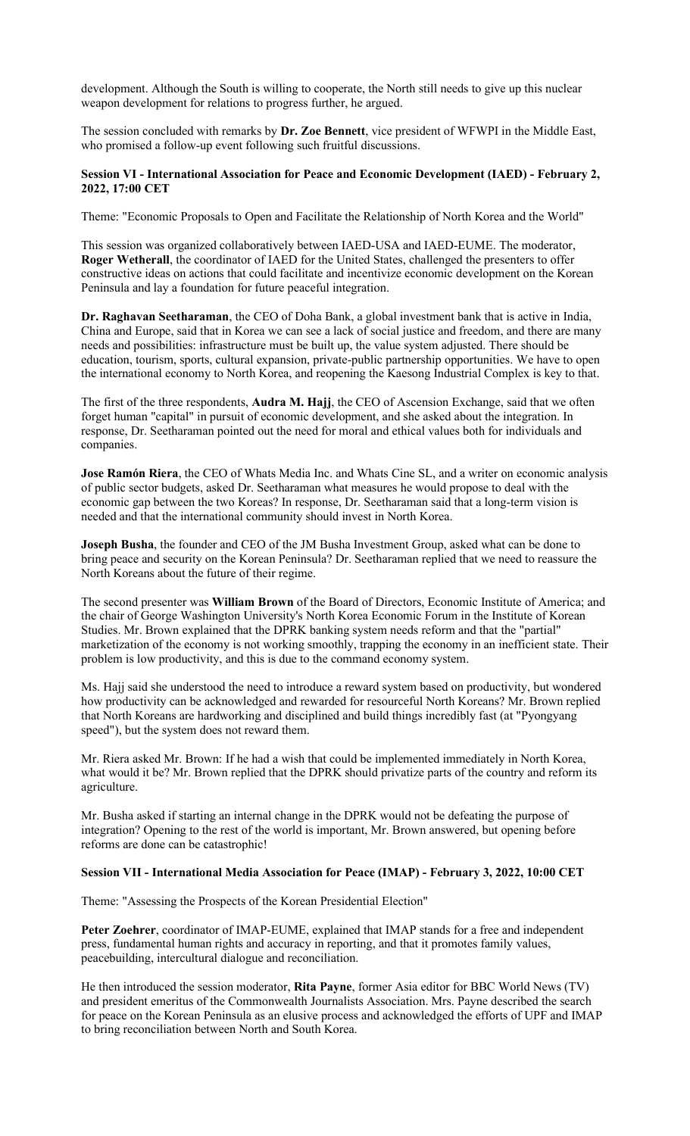development. Although the South is willing to cooperate, the North still needs to give up this nuclear weapon development for relations to progress further, he argued.

The session concluded with remarks by **Dr. Zoe Bennett**, vice president of WFWPI in the Middle East, who promised a follow-up event following such fruitful discussions.

#### **Session VI - International Association for Peace and Economic Development (IAED) - February 2, 2022, 17:00 CET**

Theme: "Economic Proposals to Open and Facilitate the Relationship of North Korea and the World"

This session was organized collaboratively between IAED-USA and IAED-EUME. The moderator, **Roger Wetherall**, the coordinator of IAED for the United States, challenged the presenters to offer constructive ideas on actions that could facilitate and incentivize economic development on the Korean Peninsula and lay a foundation for future peaceful integration.

**Dr. Raghavan Seetharaman**, the CEO of Doha Bank, a global investment bank that is active in India, China and Europe, said that in Korea we can see a lack of social justice and freedom, and there are many needs and possibilities: infrastructure must be built up, the value system adjusted. There should be education, tourism, sports, cultural expansion, private-public partnership opportunities. We have to open the international economy to North Korea, and reopening the Kaesong Industrial Complex is key to that.

The first of the three respondents, **Audra M. Hajj**, the CEO of Ascension Exchange, said that we often forget human "capital" in pursuit of economic development, and she asked about the integration. In response, Dr. Seetharaman pointed out the need for moral and ethical values both for individuals and companies.

**Jose Ramón Riera**, the CEO of Whats Media Inc. and Whats Cine SL, and a writer on economic analysis of public sector budgets, asked Dr. Seetharaman what measures he would propose to deal with the economic gap between the two Koreas? In response, Dr. Seetharaman said that a long-term vision is needed and that the international community should invest in North Korea.

**Joseph Busha**, the founder and CEO of the JM Busha Investment Group, asked what can be done to bring peace and security on the Korean Peninsula? Dr. Seetharaman replied that we need to reassure the North Koreans about the future of their regime.

The second presenter was **William Brown** of the Board of Directors, Economic Institute of America; and the chair of George Washington University's North Korea Economic Forum in the Institute of Korean Studies. Mr. Brown explained that the DPRK banking system needs reform and that the "partial" marketization of the economy is not working smoothly, trapping the economy in an inefficient state. Their problem is low productivity, and this is due to the command economy system.

Ms. Hajj said she understood the need to introduce a reward system based on productivity, but wondered how productivity can be acknowledged and rewarded for resourceful North Koreans? Mr. Brown replied that North Koreans are hardworking and disciplined and build things incredibly fast (at "Pyongyang speed"), but the system does not reward them.

Mr. Riera asked Mr. Brown: If he had a wish that could be implemented immediately in North Korea, what would it be? Mr. Brown replied that the DPRK should privatize parts of the country and reform its agriculture.

Mr. Busha asked if starting an internal change in the DPRK would not be defeating the purpose of integration? Opening to the rest of the world is important, Mr. Brown answered, but opening before reforms are done can be catastrophic!

#### **Session VII - International Media Association for Peace (IMAP) - February 3, 2022, 10:00 CET**

Theme: "Assessing the Prospects of the Korean Presidential Election"

**Peter Zoehrer**, coordinator of IMAP-EUME, explained that IMAP stands for a free and independent press, fundamental human rights and accuracy in reporting, and that it promotes family values, peacebuilding, intercultural dialogue and reconciliation.

He then introduced the session moderator, **Rita Payne**, former Asia editor for BBC World News (TV) and president emeritus of the Commonwealth Journalists Association. Mrs. Payne described the search for peace on the Korean Peninsula as an elusive process and acknowledged the efforts of UPF and IMAP to bring reconciliation between North and South Korea.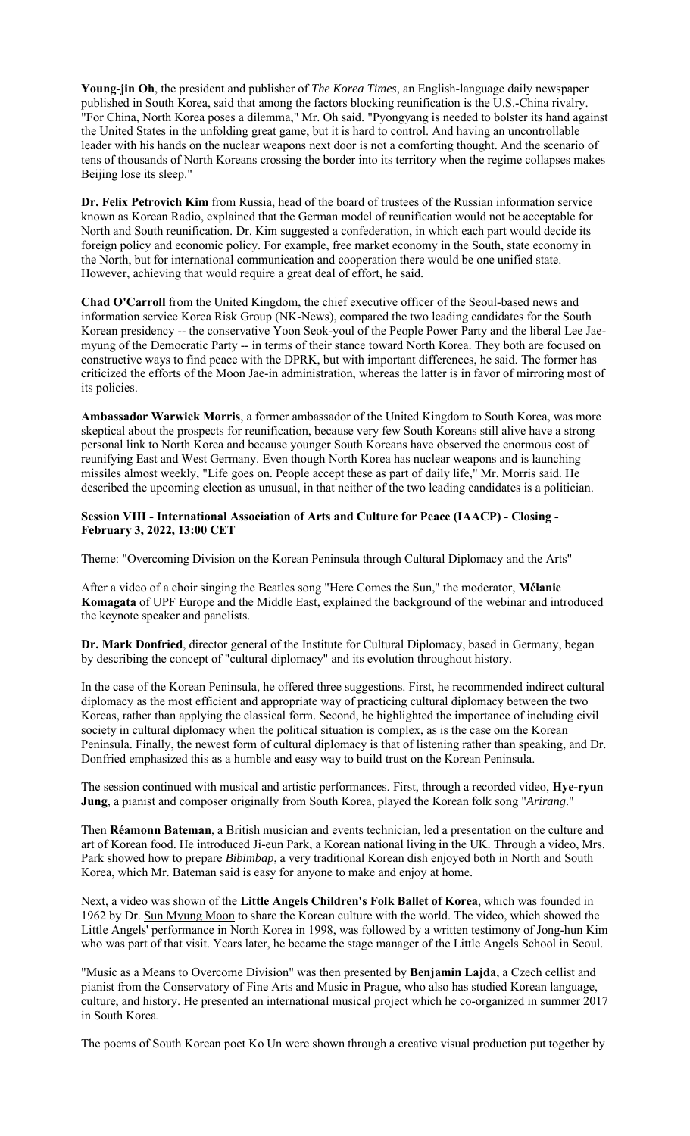**Young-jin Oh**, the president and publisher of *The Korea Times*, an English-language daily newspaper published in South Korea, said that among the factors blocking reunification is the U.S.-China rivalry. "For China, North Korea poses a dilemma," Mr. Oh said. "Pyongyang is needed to bolster its hand against the United States in the unfolding great game, but it is hard to control. And having an uncontrollable leader with his hands on the nuclear weapons next door is not a comforting thought. And the scenario of tens of thousands of North Koreans crossing the border into its territory when the regime collapses makes Beijing lose its sleep."

**Dr. Felix Petrovich Kim** from Russia, head of the board of trustees of the Russian information service known as Korean Radio, explained that the German model of reunification would not be acceptable for North and South reunification. Dr. Kim suggested a confederation, in which each part would decide its foreign policy and economic policy. For example, free market economy in the South, state economy in the North, but for international communication and cooperation there would be one unified state. However, achieving that would require a great deal of effort, he said.

**Chad O'Carroll** from the United Kingdom, the chief executive officer of the Seoul-based news and information service Korea Risk Group (NK-News), compared the two leading candidates for the South Korean presidency -- the conservative Yoon Seok-youl of the People Power Party and the liberal Lee Jaemyung of the Democratic Party -- in terms of their stance toward North Korea. They both are focused on constructive ways to find peace with the DPRK, but with important differences, he said. The former has criticized the efforts of the Moon Jae-in administration, whereas the latter is in favor of mirroring most of its policies.

**Ambassador Warwick Morris**, a former ambassador of the United Kingdom to South Korea, was more skeptical about the prospects for reunification, because very few South Koreans still alive have a strong personal link to North Korea and because younger South Koreans have observed the enormous cost of reunifying East and West Germany. Even though North Korea has nuclear weapons and is launching missiles almost weekly, "Life goes on. People accept these as part of daily life," Mr. Morris said. He described the upcoming election as unusual, in that neither of the two leading candidates is a politician.

# **Session VIII - International Association of Arts and Culture for Peace (IAACP) - Closing - February 3, 2022, 13:00 CET**

Theme: "Overcoming Division on the Korean Peninsula through Cultural Diplomacy and the Arts"

After a video of a choir singing the Beatles song "Here Comes the Sun," the moderator, **Mélanie Komagata** of UPF Europe and the Middle East, explained the background of the webinar and introduced the keynote speaker and panelists.

**Dr. Mark Donfried**, director general of the Institute for Cultural Diplomacy, based in Germany, began by describing the concept of "cultural diplomacy" and its evolution throughout history.

In the case of the Korean Peninsula, he offered three suggestions. First, he recommended indirect cultural diplomacy as the most efficient and appropriate way of practicing cultural diplomacy between the two Koreas, rather than applying the classical form. Second, he highlighted the importance of including civil society in cultural diplomacy when the political situation is complex, as is the case om the Korean Peninsula. Finally, the newest form of cultural diplomacy is that of listening rather than speaking, and Dr. Donfried emphasized this as a humble and easy way to build trust on the Korean Peninsula.

The session continued with musical and artistic performances. First, through a recorded video, **Hye-ryun Jung**, a pianist and composer originally from South Korea, played the Korean folk song "*Arirang*."

Then **Réamonn Bateman**, a British musician and events technician, led a presentation on the culture and art of Korean food. He introduced Ji-eun Park, a Korean national living in the UK. Through a video, Mrs. Park showed how to prepare *Bibimbap*, a very traditional Korean dish enjoyed both in North and South Korea, which Mr. Bateman said is easy for anyone to make and enjoy at home.

Next, a video was shown of the **Little Angels Children's Folk Ballet of Korea**, which was founded in 1962 by Dr. Sun Myung Moon to share the Korean culture with the world. The video, which showed the Little Angels' performance in North Korea in 1998, was followed by a written testimony of Jong-hun Kim who was part of that visit. Years later, he became the stage manager of the Little Angels School in Seoul.

"Music as a Means to Overcome Division" was then presented by **Benjamin Lajda**, a Czech cellist and pianist from the Conservatory of Fine Arts and Music in Prague, who also has studied Korean language, culture, and history. He presented an international musical project which he co-organized in summer 2017 in South Korea.

The poems of South Korean poet Ko Un were shown through a creative visual production put together by